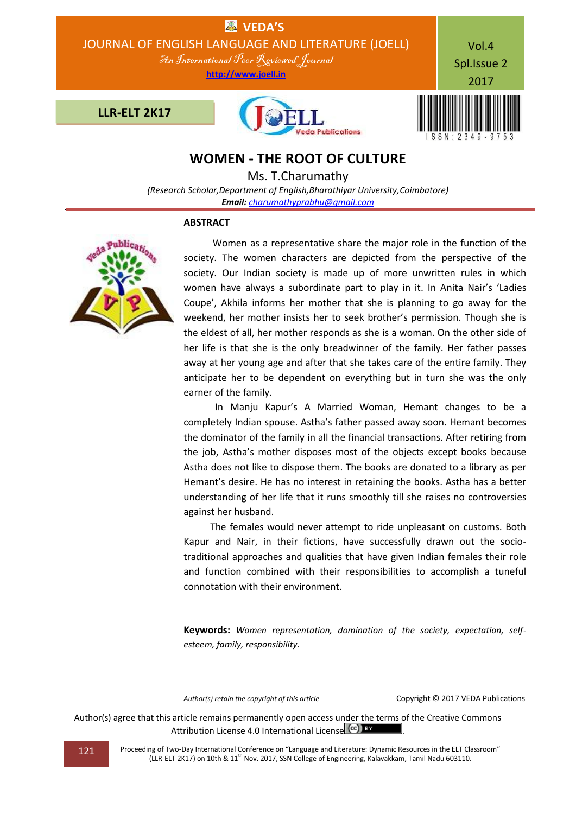

# **WOMEN - THE ROOT OF CULTURE**

Ms. T.Charumathy

*(Research Scholar,Department of English,Bharathiyar University,Coimbatore) Email: [charumathyprabhu@gmail.com](mailto:charumathyprabhu@gmail.com)*

## **ABSTRACT**



 Women as a representative share the major role in the function of the society. The women characters are depicted from the perspective of the society. Our Indian society is made up of more unwritten rules in which women have always a subordinate part to play in it. In Anita Nair's 'Ladies Coupe', Akhila informs her mother that she is planning to go away for the weekend, her mother insists her to seek brother's permission. Though she is the eldest of all, her mother responds as she is a woman. On the other side of her life is that she is the only breadwinner of the family. Her father passes away at her young age and after that she takes care of the entire family. They anticipate her to be dependent on everything but in turn she was the only earner of the family.

 In Manju Kapur's A Married Woman, Hemant changes to be a completely Indian spouse. Astha's father passed away soon. Hemant becomes the dominator of the family in all the financial transactions. After retiring from the job, Astha's mother disposes most of the objects except books because Astha does not like to dispose them. The books are donated to a library as per Hemant's desire. He has no interest in retaining the books. Astha has a better understanding of her life that it runs smoothly till she raises no controversies against her husband.

 The females would never attempt to ride unpleasant on customs. Both Kapur and Nair, in their fictions, have successfully drawn out the sociotraditional approaches and qualities that have given Indian females their role and function combined with their responsibilities to accomplish a tuneful connotation with their environment.

**Keywords:** *Women representation, domination of the society, expectation, selfesteem, family, responsibility.*

*Author(s) retain the copyright of this article* Copyright © 2017 VEDA Publications

Author(s) agree that this article remains permanently open access under the terms of the Creative Commons Attribution License 4.0 International License (cc) BY

121 Proceeding of Two-Day International Conference on "Language and Literature: Dynamic Resources in the ELT Classroom" (LLR-ELT 2K17) on 10th & 11th Nov. 2017, SSN College of Engineering, Kalavakkam, Tamil Nadu 603110.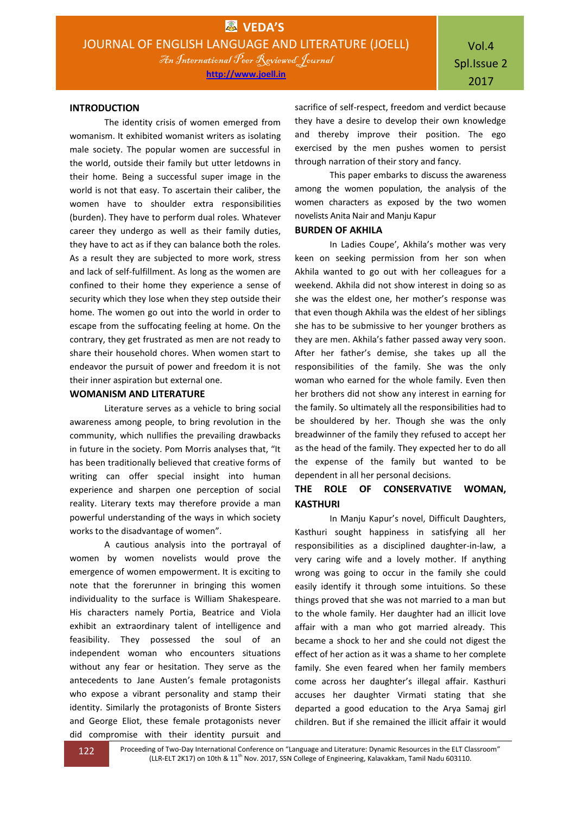#### **INTRODUCTION**

The identity crisis of women emerged from womanism. It exhibited womanist writers as isolating male society. The popular women are successful in the world, outside their family but utter letdowns in their home. Being a successful super image in the world is not that easy. To ascertain their caliber, the women have to shoulder extra responsibilities (burden). They have to perform dual roles. Whatever career they undergo as well as their family duties, they have to act as if they can balance both the roles. As a result they are subjected to more work, stress and lack of self-fulfillment. As long as the women are confined to their home they experience a sense of security which they lose when they step outside their home. The women go out into the world in order to escape from the suffocating feeling at home. On the contrary, they get frustrated as men are not ready to share their household chores. When women start to endeavor the pursuit of power and freedom it is not their inner aspiration but external one.

### **WOMANISM AND LITERATURE**

Literature serves as a vehicle to bring social awareness among people, to bring revolution in the community, which nullifies the prevailing drawbacks in future in the society. Pom Morris analyses that, "It has been traditionally believed that creative forms of writing can offer special insight into human experience and sharpen one perception of social reality. Literary texts may therefore provide a man powerful understanding of the ways in which society works to the disadvantage of women".

A cautious analysis into the portrayal of women by women novelists would prove the emergence of women empowerment. It is exciting to note that the forerunner in bringing this women individuality to the surface is William Shakespeare. His characters namely Portia, Beatrice and Viola exhibit an extraordinary talent of intelligence and feasibility. They possessed the soul of an independent woman who encounters situations without any fear or hesitation. They serve as the antecedents to Jane Austen's female protagonists who expose a vibrant personality and stamp their identity. Similarly the protagonists of Bronte Sisters and George Eliot, these female protagonists never did compromise with their identity pursuit and

sacrifice of self-respect, freedom and verdict because they have a desire to develop their own knowledge and thereby improve their position. The ego exercised by the men pushes women to persist through narration of their story and fancy.

This paper embarks to discuss the awareness among the women population, the analysis of the women characters as exposed by the two women novelists Anita Nair and Manju Kapur

#### **BURDEN OF AKHILA**

In Ladies Coupe', Akhila's mother was very keen on seeking permission from her son when Akhila wanted to go out with her colleagues for a weekend. Akhila did not show interest in doing so as she was the eldest one, her mother's response was that even though Akhila was the eldest of her siblings she has to be submissive to her younger brothers as they are men. Akhila's father passed away very soon. After her father's demise, she takes up all the responsibilities of the family. She was the only woman who earned for the whole family. Even then her brothers did not show any interest in earning for the family. So ultimately all the responsibilities had to be shouldered by her. Though she was the only breadwinner of the family they refused to accept her as the head of the family. They expected her to do all the expense of the family but wanted to be dependent in all her personal decisions.

# **THE ROLE OF CONSERVATIVE WOMAN, KASTHURI**

In Manju Kapur's novel, Difficult Daughters, Kasthuri sought happiness in satisfying all her responsibilities as a disciplined daughter-in-law, a very caring wife and a lovely mother. If anything wrong was going to occur in the family she could easily identify it through some intuitions. So these things proved that she was not married to a man but to the whole family. Her daughter had an illicit love affair with a man who got married already. This became a shock to her and she could not digest the effect of her action as it was a shame to her complete family. She even feared when her family members come across her daughter's illegal affair. Kasthuri accuses her daughter Virmati stating that she departed a good education to the Arya Samaj girl children. But if she remained the illicit affair it would

122 Proceeding of Two-Day International Conference on "Language and Literature: Dynamic Resources in the ELT Classroom" (LLR-ELT 2K17) on 10th & 11<sup>th</sup> Nov. 2017, SSN College of Engineering, Kalavakkam, Tamil Nadu 603110.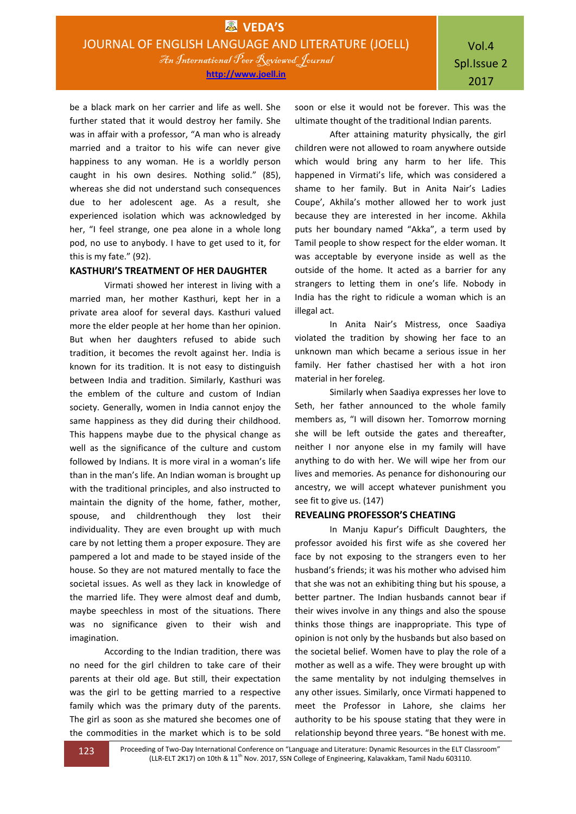be a black mark on her carrier and life as well. She further stated that it would destroy her family. She was in affair with a professor, "A man who is already married and a traitor to his wife can never give happiness to any woman. He is a worldly person caught in his own desires. Nothing solid." (85), whereas she did not understand such consequences due to her adolescent age. As a result, she experienced isolation which was acknowledged by her, "I feel strange, one pea alone in a whole long pod, no use to anybody. I have to get used to it, for this is my fate." (92).

## **KASTHURI'S TREATMENT OF HER DAUGHTER**

Virmati showed her interest in living with a married man, her mother Kasthuri, kept her in a private area aloof for several days. Kasthuri valued more the elder people at her home than her opinion. But when her daughters refused to abide such tradition, it becomes the revolt against her. India is known for its tradition. It is not easy to distinguish between India and tradition. Similarly, Kasthuri was the emblem of the culture and custom of Indian society. Generally, women in India cannot enjoy the same happiness as they did during their childhood. This happens maybe due to the physical change as well as the significance of the culture and custom followed by Indians. It is more viral in a woman's life than in the man's life. An Indian woman is brought up with the traditional principles, and also instructed to maintain the dignity of the home, father, mother, spouse, and childrenthough they lost their individuality. They are even brought up with much care by not letting them a proper exposure. They are pampered a lot and made to be stayed inside of the house. So they are not matured mentally to face the societal issues. As well as they lack in knowledge of the married life. They were almost deaf and dumb, maybe speechless in most of the situations. There was no significance given to their wish and imagination.

According to the Indian tradition, there was no need for the girl children to take care of their parents at their old age. But still, their expectation was the girl to be getting married to a respective family which was the primary duty of the parents. The girl as soon as she matured she becomes one of the commodities in the market which is to be sold

soon or else it would not be forever. This was the ultimate thought of the traditional Indian parents.

After attaining maturity physically, the girl children were not allowed to roam anywhere outside which would bring any harm to her life. This happened in Virmati's life, which was considered a shame to her family. But in Anita Nair's Ladies Coupe', Akhila's mother allowed her to work just because they are interested in her income. Akhila puts her boundary named "Akka", a term used by Tamil people to show respect for the elder woman. It was acceptable by everyone inside as well as the outside of the home. It acted as a barrier for any strangers to letting them in one's life. Nobody in India has the right to ridicule a woman which is an illegal act.

In Anita Nair's Mistress, once Saadiya violated the tradition by showing her face to an unknown man which became a serious issue in her family. Her father chastised her with a hot iron material in her foreleg.

Similarly when Saadiya expresses her love to Seth, her father announced to the whole family members as, "I will disown her. Tomorrow morning she will be left outside the gates and thereafter, neither I nor anyone else in my family will have anything to do with her. We will wipe her from our lives and memories. As penance for dishonouring our ancestry, we will accept whatever punishment you see fit to give us. (147)

#### **REVEALING PROFESSOR'S CHEATING**

In Manju Kapur's Difficult Daughters, the professor avoided his first wife as she covered her face by not exposing to the strangers even to her husband's friends; it was his mother who advised him that she was not an exhibiting thing but his spouse, a better partner. The Indian husbands cannot bear if their wives involve in any things and also the spouse thinks those things are inappropriate. This type of opinion is not only by the husbands but also based on the societal belief. Women have to play the role of a mother as well as a wife. They were brought up with the same mentality by not indulging themselves in any other issues. Similarly, once Virmati happened to meet the Professor in Lahore, she claims her authority to be his spouse stating that they were in relationship beyond three years. "Be honest with me.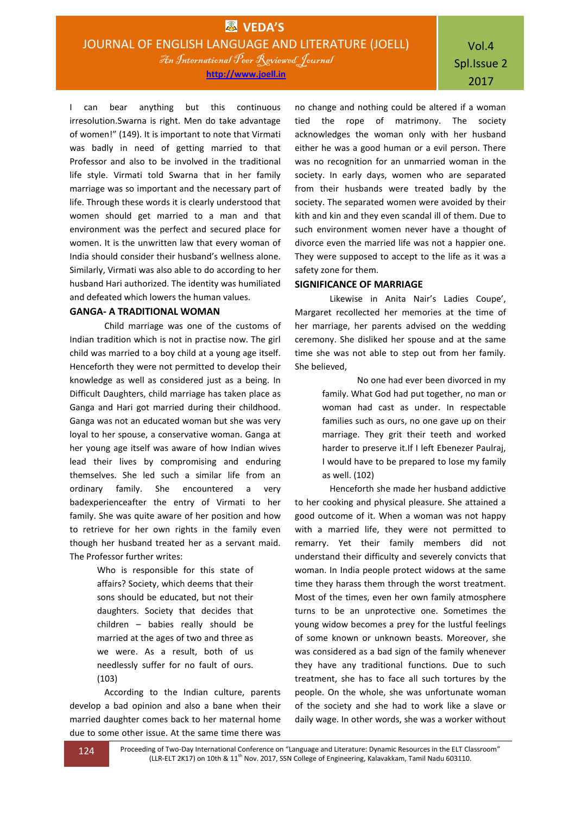I can bear anything but this continuous irresolution.Swarna is right. Men do take advantage of women!" (149). It is important to note that Virmati was badly in need of getting married to that Professor and also to be involved in the traditional life style. Virmati told Swarna that in her family marriage was so important and the necessary part of life. Through these words it is clearly understood that women should get married to a man and that environment was the perfect and secured place for women. It is the unwritten law that every woman of India should consider their husband's wellness alone. Similarly, Virmati was also able to do according to her husband Hari authorized. The identity was humiliated and defeated which lowers the human values.

# **GANGA- A TRADITIONAL WOMAN**

Child marriage was one of the customs of Indian tradition which is not in practise now. The girl child was married to a boy child at a young age itself. Henceforth they were not permitted to develop their knowledge as well as considered just as a being. In Difficult Daughters, child marriage has taken place as Ganga and Hari got married during their childhood. Ganga was not an educated woman but she was very loyal to her spouse, a conservative woman. Ganga at her young age itself was aware of how Indian wives lead their lives by compromising and enduring themselves. She led such a similar life from an ordinary family. She encountered a very badexperienceafter the entry of Virmati to her family. She was quite aware of her position and how to retrieve for her own rights in the family even though her husband treated her as a servant maid. The Professor further writes:

> Who is responsible for this state of affairs? Society, which deems that their sons should be educated, but not their daughters. Society that decides that children – babies really should be married at the ages of two and three as we were. As a result, both of us needlessly suffer for no fault of ours. (103)

According to the Indian culture, parents develop a bad opinion and also a bane when their married daughter comes back to her maternal home due to some other issue. At the same time there was

no change and nothing could be altered if a woman tied the rope of matrimony. The society acknowledges the woman only with her husband either he was a good human or a evil person. There was no recognition for an unmarried woman in the society. In early days, women who are separated from their husbands were treated badly by the society. The separated women were avoided by their kith and kin and they even scandal ill of them. Due to such environment women never have a thought of divorce even the married life was not a happier one. They were supposed to accept to the life as it was a safety zone for them.

# **SIGNIFICANCE OF MARRIAGE**

Likewise in Anita Nair's Ladies Coupe', Margaret recollected her memories at the time of her marriage, her parents advised on the wedding ceremony. She disliked her spouse and at the same time she was not able to step out from her family. She believed,

> No one had ever been divorced in my family. What God had put together, no man or woman had cast as under. In respectable families such as ours, no one gave up on their marriage. They grit their teeth and worked harder to preserve it.If I left Ebenezer Paulraj, I would have to be prepared to lose my family as well. (102)

Henceforth she made her husband addictive to her cooking and physical pleasure. She attained a good outcome of it. When a woman was not happy with a married life, they were not permitted to remarry. Yet their family members did not understand their difficulty and severely convicts that woman. In India people protect widows at the same time they harass them through the worst treatment. Most of the times, even her own family atmosphere turns to be an unprotective one. Sometimes the young widow becomes a prey for the lustful feelings of some known or unknown beasts. Moreover, she was considered as a bad sign of the family whenever they have any traditional functions. Due to such treatment, she has to face all such tortures by the people. On the whole, she was unfortunate woman of the society and she had to work like a slave or daily wage. In other words, she was a worker without